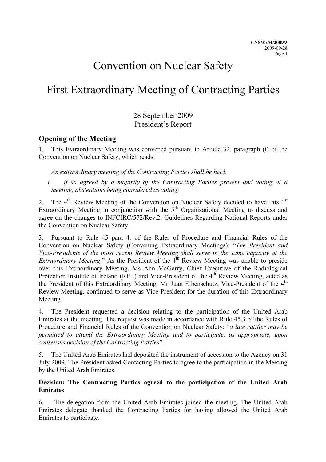# Convention on Nuclear Safety

# First Extraordinary Meeting of Contracting Parties

# 28 September 2009 President's Report

# Opening of the Meeting

1. This Extraordinary Meeting was convened pursuant to Article 32, paragraph (i) of the Convention on Nuclear Safety, which reads:

An extraordinary meeting of the Contracting Parties shall be held:

i. if so agreed by a majority of the Contracting Parties present and voting at a meeting, abstentions being considered as voting;

2. The 4<sup>th</sup> Review Meeting of the Convention on Nuclear Safety decided to have this 1<sup>st</sup> Extraordinary Meeting in conjunction with the  $5<sup>th</sup>$  Organizational Meeting to discuss and agree on the changes to INFCIRC/572/Rev.2, Guidelines Regarding National Reports under the Convention on Nuclear Safety.

3. Pursuant to Rule 45 para 4. of the Rules of Procedure and Financial Rules of the Convention on Nuclear Safety (Convening Extraordinary Meetings): "The President and Vice-Presidents of the most recent Review Meeting shall serve in the same capacity at the *Extraordinary Meeting.*" As the President of the  $4<sup>th</sup>$  Review Meeting was unable to preside over this Extraordinary Meeting, Ms Ann McGarry, Chief Executive of the Radiological Protection Institute of Ireland (RPII) and Vice-President of the 4<sup>th</sup> Review Meeting, acted as the President of this Extraordinary Meeting. Mr Juan Eibenschutz, Vice-President of the 4<sup>th</sup> Review Meeting, continued to serve as Vice-President for the duration of this Extraordinary Meeting.

4. The President requested a decision relating to the participation of the United Arab Emirates at the meeting. The request was made in accordance with Rule 45.3 of the Rules of Procedure and Financial Rules of the Convention on Nuclear Safety: "a late ratifier may be permitted to attend the Extraordinary Meeting and to participate, as appropriate, upon consensus decision of the Contracting Parties".

5. The United Arab Emirates had deposited the instrument of accession to the Agency on 31 July 2009. The President asked Contacting Parties to agree to the participation in the Meeting by the United Arab Emirates.

## Decision: The Contracting Parties agreed to the participation of the United Arab Emirates

6. The delegation from the United Arab Emirates joined the meeting. The United Arab Emirates delegate thanked the Contracting Parties for having allowed the United Arab Emirates to participate.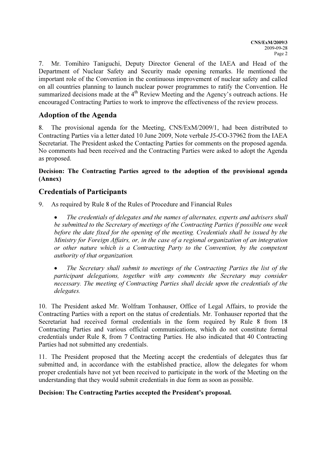7. Mr. Tomihiro Taniguchi, Deputy Director General of the IAEA and Head of the Department of Nuclear Safety and Security made opening remarks. He mentioned the important role of the Convention in the continuous improvement of nuclear safety and called on all countries planning to launch nuclear power programmes to ratify the Convention. He summarized decisions made at the  $4<sup>th</sup>$  Review Meeting and the Agency's outreach actions. He encouraged Contracting Parties to work to improve the effectiveness of the review process.

# Adoption of the Agenda

8. The provisional agenda for the Meeting, CNS/ExM/2009/1, had been distributed to Contracting Parties via a letter dated 10 June 2009, Note verbale J5-CO-37962 from the IAEA Secretariat. The President asked the Contacting Parties for comments on the proposed agenda. No comments had been received and the Contracting Parties were asked to adopt the Agenda as proposed.

## Decision: The Contracting Parties agreed to the adoption of the provisional agenda (Annex)

# Credentials of Participants

9. As required by Rule 8 of the Rules of Procedure and Financial Rules

The credentials of delegates and the names of alternates, experts and advisers shall be submitted to the Secretary of meetings of the Contracting Parties if possible one week before the date fixed for the opening of the meeting. Credentials shall be issued by the Ministry for Foreign Affairs, or, in the case of a regional organization of an integration or other nature which is a Contracting Party to the Convention, by the competent authority of that organization.

• The Secretary shall submit to meetings of the Contracting Parties the list of the participant delegations, together with any comments the Secretary may consider necessary. The meeting of Contracting Parties shall decide upon the credentials of the delegates.

10. The President asked Mr. Wolfram Tonhauser, Office of Legal Affairs, to provide the Contracting Parties with a report on the status of credentials. Mr. Tonhauser reported that the Secretariat had received formal credentials in the form required by Rule 8 from 18 Contracting Parties and various official communications, which do not constitute formal credentials under Rule 8, from 7 Contracting Parties. He also indicated that 40 Contracting Parties had not submitted any credentials.

11. The President proposed that the Meeting accept the credentials of delegates thus far submitted and, in accordance with the established practice, allow the delegates for whom proper credentials have not yet been received to participate in the work of the Meeting on the understanding that they would submit credentials in due form as soon as possible.

## Decision: The Contracting Parties accepted the President's proposal.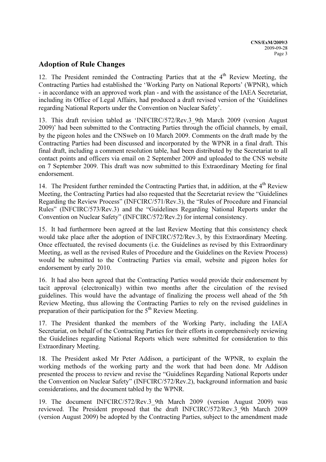## Adoption of Rule Changes

12. The President reminded the Contracting Parties that at the  $4<sup>th</sup>$  Review Meeting, the Contracting Parties had established the 'Working Party on National Reports' (WPNR), which - in accordance with an approved work plan - and with the assistance of the IAEA Secretariat, including its Office of Legal Affairs, had produced a draft revised version of the 'Guidelines regarding National Reports under the Convention on Nuclear Safety'.

13. This draft revision tabled as 'INFCIRC/572/Rev.3\_9th March 2009 (version August 2009)' had been submitted to the Contracting Parties through the official channels, by email, by the pigeon holes and the CNSweb on 10 March 2009. Comments on the draft made by the Contracting Parties had been discussed and incorporated by the WPNR in a final draft. This final draft, including a comment resolution table, had been distributed by the Secretariat to all contact points and officers via email on 2 September 2009 and uploaded to the CNS website on 7 September 2009. This draft was now submitted to this Extraordinary Meeting for final endorsement.

14. The President further reminded the Contracting Parties that, in addition, at the 4<sup>th</sup> Review Meeting, the Contracting Parties had also requested that the Secretariat review the "Guidelines Regarding the Review Process" (INFCIRC/571/Rev.3), the "Rules of Procedure and Financial Rules" (INFCIRC/573/Rev.3) and the "Guidelines Regarding National Reports under the Convention on Nuclear Safety" (INFCIRC/572/Rev.2) for internal consistency.

15. It had furthermore been agreed at the last Review Meeting that this consistency check would take place after the adoption of INFCIRC/572/Rev.3, by this Extraordinary Meeting. Once effectuated, the revised documents (i.e. the Guidelines as revised by this Extraordinary Meeting, as well as the revised Rules of Procedure and the Guidelines on the Review Process) would be submitted to the Contracting Parties via email, website and pigeon holes for endorsement by early 2010.

16. It had also been agreed that the Contracting Parties would provide their endorsement by tacit approval (electronically) within two months after the circulation of the revised guidelines. This would have the advantage of finalizing the process well ahead of the 5th Review Meeting, thus allowing the Contracting Parties to rely on the revised guidelines in preparation of their participation for the  $5<sup>th</sup>$  Review Meeting.

17. The President thanked the members of the Working Party, including the IAEA Secretariat, on behalf of the Contracting Parties for their efforts in comprehensively reviewing the Guidelines regarding National Reports which were submitted for consideration to this Extraordinary Meeting.

18. The President asked Mr Peter Addison, a participant of the WPNR, to explain the working methods of the working party and the work that had been done. Mr Addison presented the process to review and revise the "Guidelines Regarding National Reports under the Convention on Nuclear Safety" (INFCIRC/572/Rev.2), background information and basic considerations, and the document tabled by the WPNR.

19. The document INFCIRC/572/Rev.3\_9th March 2009 (version August 2009) was reviewed. The President proposed that the draft INFCIRC/572/Rev.3\_9th March 2009 (version August 2009) be adopted by the Contracting Parties, subject to the amendment made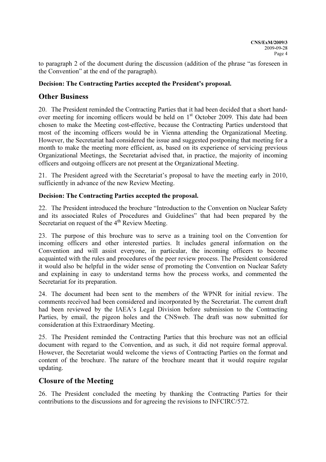to paragraph 2 of the document during the discussion (addition of the phrase "as foreseen in the Convention" at the end of the paragraph).

## Decision: The Contracting Parties accepted the President's proposal.

## Other Business

20. The President reminded the Contracting Parties that it had been decided that a short handover meeting for incoming officers would be held on 1<sup>st</sup> October 2009. This date had been chosen to make the Meeting cost-effective, because the Contracting Parties understood that most of the incoming officers would be in Vienna attending the Organizational Meeting. However, the Secretariat had considered the issue and suggested postponing that meeting for a month to make the meeting more efficient, as, based on its experience of servicing previous Organizational Meetings, the Secretariat advised that, in practice, the majority of incoming officers and outgoing officers are not present at the Organizational Meeting.

21. The President agreed with the Secretariat's proposal to have the meeting early in 2010, sufficiently in advance of the new Review Meeting.

#### Decision: The Contracting Parties accepted the proposal.

22. The President introduced the brochure "Introduction to the Convention on Nuclear Safety and its associated Rules of Procedures and Guidelines" that had been prepared by the Secretariat on request of the  $4<sup>th</sup>$  Review Meeting.

23. The purpose of this brochure was to serve as a training tool on the Convention for incoming officers and other interested parties. It includes general information on the Convention and will assist everyone, in particular, the incoming officers to become acquainted with the rules and procedures of the peer review process. The President considered it would also be helpful in the wider sense of promoting the Convention on Nuclear Safety and explaining in easy to understand terms how the process works, and commented the Secretariat for its preparation.

24. The document had been sent to the members of the WPNR for initial review. The comments received had been considered and incorporated by the Secretariat. The current draft had been reviewed by the IAEA's Legal Division before submission to the Contracting Parties, by email, the pigeon holes and the CNSweb. The draft was now submitted for consideration at this Extraordinary Meeting.

25. The President reminded the Contracting Parties that this brochure was not an official document with regard to the Convention, and as such, it did not require formal approval. However, the Secretariat would welcome the views of Contracting Parties on the format and content of the brochure. The nature of the brochure meant that it would require regular updating.

## Closure of the Meeting

26. The President concluded the meeting by thanking the Contracting Parties for their contributions to the discussions and for agreeing the revisions to INFCIRC/572.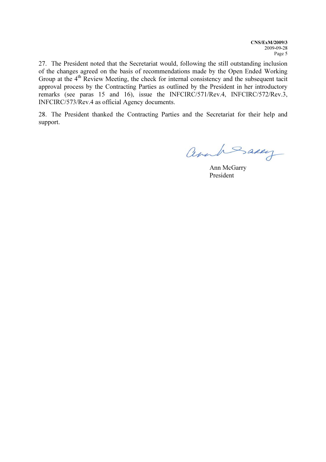27. The President noted that the Secretariat would, following the still outstanding inclusion of the changes agreed on the basis of recommendations made by the Open Ended Working Group at the 4<sup>th</sup> Review Meeting, the check for internal consistency and the subsequent tacit approval process by the Contracting Parties as outlined by the President in her introductory remarks (see paras 15 and 16), issue the INFCIRC/571/Rev.4, INFCIRC/572/Rev.3, INFCIRC/573/Rev.4 as official Agency documents.

28. The President thanked the Contracting Parties and the Secretariat for their help and support.

annh Saxey

 Ann McGarry President